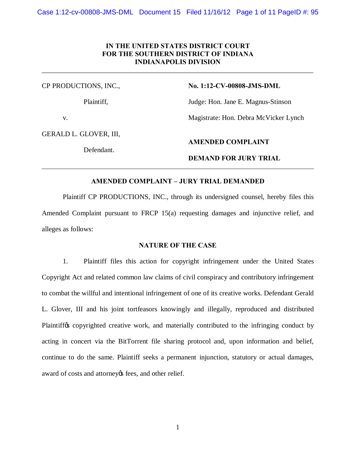# **IN THE UNITED STATES DISTRICT COURT FOR THE SOUTHERN DISTRICT OF INDIANA INDIANAPOLIS DIVISION**

\_\_\_\_\_\_\_\_\_\_\_\_\_\_\_\_\_\_\_\_\_\_\_\_\_\_\_\_\_\_\_\_\_\_\_\_\_\_\_\_\_\_\_\_\_\_\_\_\_\_\_\_\_\_\_\_\_\_\_\_\_\_\_\_\_\_\_\_\_\_\_\_\_\_\_\_\_\_

CP PRODUCTIONS, INC., **No. 1:12-CV-00808-JMS-DML**

Plaintiff, Judge: Hon. Jane E. Magnus-Stinson

v. Magistrate: Hon. Debra McVicker Lynch

GERALD L. GLOVER, III,

Defendant.

# **AMENDED COMPLAINT**

# **DEMAND FOR JURY TRIAL**

# **AMENDED COMPLAINT – JURY TRIAL DEMANDED**

Plaintiff CP PRODUCTIONS, INC., through its undersigned counsel, hereby files this Amended Complaint pursuant to FRCP 15(a) requesting damages and injunctive relief, and alleges as follows:

# **NATURE OF THE CASE**

1. Plaintiff files this action for copyright infringement under the United States Copyright Act and related common law claims of civil conspiracy and contributory infringement to combat the willful and intentional infringement of one of its creative works. Defendant Gerald L. Glover, III and his joint tortfeasors knowingly and illegally, reproduced and distributed Plaintiffos copyrighted creative work, and materially contributed to the infringing conduct by acting in concert via the BitTorrent file sharing protocol and, upon information and belief, continue to do the same. Plaintiff seeks a permanent injunction, statutory or actual damages, award of costs and attorney is fees, and other relief.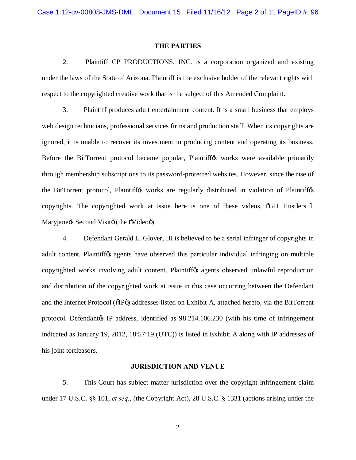### **THE PARTIES**

2. Plaintiff CP PRODUCTIONS, INC. is a corporation organized and existing under the laws of the State of Arizona. Plaintiff is the exclusive holder of the relevant rights with respect to the copyrighted creative work that is the subject of this Amended Complaint.

3. Plaintiff produces adult entertainment content. It is a small business that employs web design technicians, professional services firms and production staff. When its copyrights are ignored, it is unable to recover its investment in producing content and operating its business. Before the BitTorrent protocol became popular, Plaintiff<sub>of</sub> works were available primarily through membership subscriptions to its password-protected websites. However, since the rise of the BitTorrent protocol, Plaintiff $\alpha$  works are regularly distributed in violation of Plaintiff $\alpha$ copyrights. The copyrighted work at issue here is one of these videos,  $\delta$ GH Hustlers 6 Maryjane $\alpha$  Second Visitö (the  $\delta$ Videoö).

4. Defendant Gerald L. Glover, III is believed to be a serial infringer of copyrights in adult content. Plaintiff<sub>(s)</sub> agents have observed this particular individual infringing on multiple copyrighted works involving adult content. Plaintiff<sub>of</sub> agents observed unlawful reproduction and distribution of the copyrighted work at issue in this case occurring between the Defendant and the Internet Protocol ( $\delta$ IP $\ddot{o}$ ) addresses listed on Exhibit A, attached hereto, via the BitTorrent protocol. Defendant & IP address, identified as  $98.214.106.230$  (with his time of infringement indicated as January 19, 2012, 18:57:19 (UTC)) is listed in Exhibit A along with IP addresses of his joint tortfeasors.

### **JURISDICTION AND VENUE**

5. This Court has subject matter jurisdiction over the copyright infringement claim under 17 U.S.C. §§ 101, *et seq.*, (the Copyright Act), 28 U.S.C. § 1331 (actions arising under the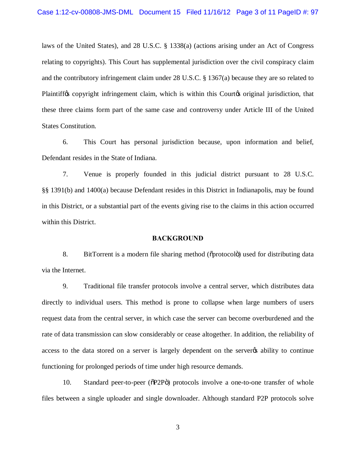laws of the United States), and 28 U.S.C. § 1338(a) (actions arising under an Act of Congress relating to copyrights). This Court has supplemental jurisdiction over the civil conspiracy claim and the contributory infringement claim under 28 U.S.C. § 1367(a) because they are so related to Plaintiff<sub>os</sub> copyright infringement claim, which is within this Court<sub>op</sub> original jurisdiction, that these three claims form part of the same case and controversy under Article III of the United States Constitution.

6. This Court has personal jurisdiction because, upon information and belief, Defendant resides in the State of Indiana.

7. Venue is properly founded in this judicial district pursuant to 28 U.S.C. §§ 1391(b) and 1400(a) because Defendant resides in this District in Indianapolis, may be found in this District, or a substantial part of the events giving rise to the claims in this action occurred within this District.

### **BACKGROUND**

8. BitTorrent is a modern file sharing method ( $\delta$ protocolo) used for distributing data via the Internet.

9. Traditional file transfer protocols involve a central server, which distributes data directly to individual users. This method is prone to collapse when large numbers of users request data from the central server, in which case the server can become overburdened and the rate of data transmission can slow considerably or cease altogether. In addition, the reliability of access to the data stored on a server is largely dependent on the server to ability to continue functioning for prolonged periods of time under high resource demands.

10. Standard peer-to-peer ( $\delta P2P\ddot{o}$ ) protocols involve a one-to-one transfer of whole files between a single uploader and single downloader. Although standard P2P protocols solve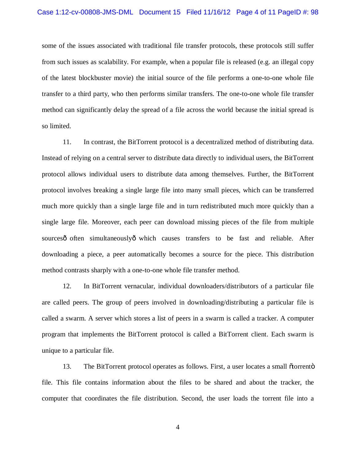some of the issues associated with traditional file transfer protocols, these protocols still suffer from such issues as scalability. For example, when a popular file is released (e.g. an illegal copy of the latest blockbuster movie) the initial source of the file performs a one-to-one whole file transfer to a third party, who then performs similar transfers. The one-to-one whole file transfer method can significantly delay the spread of a file across the world because the initial spread is so limited.

11. In contrast, the BitTorrent protocol is a decentralized method of distributing data. Instead of relying on a central server to distribute data directly to individual users, the BitTorrent protocol allows individual users to distribute data among themselves. Further, the BitTorrent protocol involves breaking a single large file into many small pieces, which can be transferred much more quickly than a single large file and in turn redistributed much more quickly than a single large file. Moreover, each peer can download missing pieces of the file from multiple sourcesô often simultaneouslyô which causes transfers to be fast and reliable. After downloading a piece, a peer automatically becomes a source for the piece. This distribution method contrasts sharply with a one-to-one whole file transfer method.

12. In BitTorrent vernacular, individual downloaders/distributors of a particular file are called peers. The group of peers involved in downloading/distributing a particular file is called a swarm. A server which stores a list of peers in a swarm is called a tracker. A computer program that implements the BitTorrent protocol is called a BitTorrent client. Each swarm is unique to a particular file.

13. The BitTorrent protocol operates as follows. First, a user locates a small  $\alpha$  dorrent  $\ddot{\alpha}$ file. This file contains information about the files to be shared and about the tracker, the computer that coordinates the file distribution. Second, the user loads the torrent file into a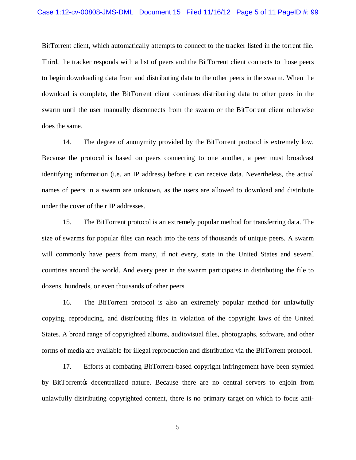# Case 1:12-cv-00808-JMS-DML Document 15 Filed 11/16/12 Page 5 of 11 PageID #: 99

BitTorrent client, which automatically attempts to connect to the tracker listed in the torrent file. Third, the tracker responds with a list of peers and the BitTorrent client connects to those peers to begin downloading data from and distributing data to the other peers in the swarm. When the download is complete, the BitTorrent client continues distributing data to other peers in the swarm until the user manually disconnects from the swarm or the BitTorrent client otherwise does the same.

14. The degree of anonymity provided by the BitTorrent protocol is extremely low. Because the protocol is based on peers connecting to one another, a peer must broadcast identifying information (i.e. an IP address) before it can receive data. Nevertheless, the actual names of peers in a swarm are unknown, as the users are allowed to download and distribute under the cover of their IP addresses.

15. The BitTorrent protocol is an extremely popular method for transferring data. The size of swarms for popular files can reach into the tens of thousands of unique peers. A swarm will commonly have peers from many, if not every, state in the United States and several countries around the world. And every peer in the swarm participates in distributing the file to dozens, hundreds, or even thousands of other peers.

16. The BitTorrent protocol is also an extremely popular method for unlawfully copying, reproducing, and distributing files in violation of the copyright laws of the United States. A broad range of copyrighted albums, audiovisual files, photographs, software, and other forms of media are available for illegal reproduction and distribution via the BitTorrent protocol.

17. Efforts at combating BitTorrent-based copyright infringement have been stymied by BitTorrent $\alpha$  decentralized nature. Because there are no central servers to enjoin from unlawfully distributing copyrighted content, there is no primary target on which to focus anti-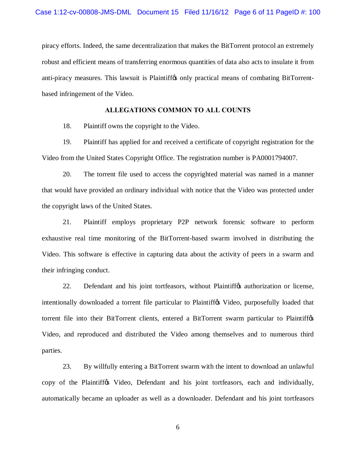piracy efforts. Indeed, the same decentralization that makes the BitTorrent protocol an extremely robust and efficient means of transferring enormous quantities of data also acts to insulate it from anti-piracy measures. This lawsuit is Plaintiffos only practical means of combating BitTorrentbased infringement of the Video.

# **ALLEGATIONS COMMON TO ALL COUNTS**

18. Plaintiff owns the copyright to the Video.

19. Plaintiff has applied for and received a certificate of copyright registration for the Video from the United States Copyright Office. The registration number is PA0001794007.

20. The torrent file used to access the copyrighted material was named in a manner that would have provided an ordinary individual with notice that the Video was protected under the copyright laws of the United States.

21. Plaintiff employs proprietary P2P network forensic software to perform exhaustive real time monitoring of the BitTorrent-based swarm involved in distributing the Video. This software is effective in capturing data about the activity of peers in a swarm and their infringing conduct.

22. Defendant and his joint tortfeasors, without Plaintiff to authorization or license, intentionally downloaded a torrent file particular to Plaintiffos Video, purposefully loaded that torrent file into their BitTorrent clients, entered a BitTorrent swarm particular to Plaintiffos Video, and reproduced and distributed the Video among themselves and to numerous third parties.

23. By willfully entering a BitTorrent swarm with the intent to download an unlawful copy of the Plaintiffos Video, Defendant and his joint tortfeasors, each and individually, automatically became an uploader as well as a downloader. Defendant and his joint tortfeasors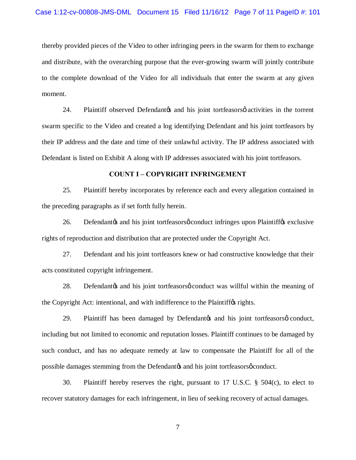thereby provided pieces of the Video to other infringing peers in the swarm for them to exchange and distribute, with the overarching purpose that the ever-growing swarm will jointly contribute to the complete download of the Video for all individuals that enter the swarm at any given moment.

24. Plaintiff observed Defendantos and his joint tortfeasors o activities in the torrent swarm specific to the Video and created a log identifying Defendant and his joint tortfeasors by their IP address and the date and time of their unlawful activity. The IP address associated with Defendant is listed on Exhibit A along with IP addresses associated with his joint tortfeasors.

### **COUNT I – COPYRIGHT INFRINGEMENT**

25. Plaintiff hereby incorporates by reference each and every allegation contained in the preceding paragraphs as if set forth fully herein.

26. Defendant is joint tortfeasors of conduct infringes upon Plaintiff (sexclusive rights of reproduction and distribution that are protected under the Copyright Act.

27. Defendant and his joint tortfeasors knew or had constructive knowledge that their acts constituted copyright infringement.

28. Defendant *p*s and his joint tortfeasors *p* conduct was willful within the meaning of the Copyright Act: intentional, and with indifference to the Plaintiff $\alpha$  rights.

29. Plaintiff has been damaged by Defendant to his joint tortfeasors occupated nearly including but not limited to economic and reputation losses. Plaintiff continues to be damaged by such conduct, and has no adequate remedy at law to compensate the Plaintiff for all of the possible damages stemming from the Defendant<sub>*(s)*</sub> and his joint tortfeasors  $\phi$  conduct.

30. Plaintiff hereby reserves the right, pursuant to 17 U.S.C. § 504(c), to elect to recover statutory damages for each infringement, in lieu of seeking recovery of actual damages.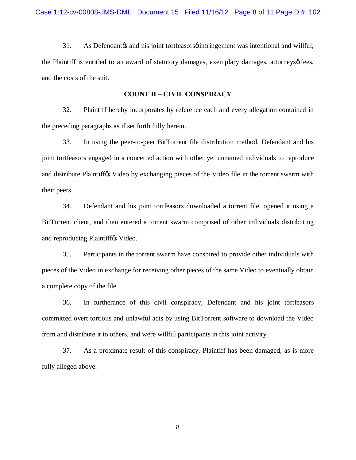31. As Defendant as and his joint tort feasors of infringement was intentional and willful, the Plaintiff is entitled to an award of statutory damages, exemplary damages, attorneysø fees, and the costs of the suit.

### **COUNT II – CIVIL CONSPIRACY**

32. Plaintiff hereby incorporates by reference each and every allegation contained in the preceding paragraphs as if set forth fully herein.

33. In using the peer-to-peer BitTorrent file distribution method, Defendant and his joint tortfeasors engaged in a concerted action with other yet unnamed individuals to reproduce and distribute Plaintiff ts Video by exchanging pieces of the Video file in the torrent swarm with their peers.

34. Defendant and his joint tortfeasors downloaded a torrent file, opened it using a BitTorrent client, and then entered a torrent swarm comprised of other individuals distributing and reproducing Plaintiffos Video.

35. Participants in the torrent swarm have conspired to provide other individuals with pieces of the Video in exchange for receiving other pieces of the same Video to eventually obtain a complete copy of the file.

36. In furtherance of this civil conspiracy, Defendant and his joint tortfeasors committed overt tortious and unlawful acts by using BitTorrent software to download the Video from and distribute it to others, and were willful participants in this joint activity.

37. As a proximate result of this conspiracy, Plaintiff has been damaged, as is more fully alleged above.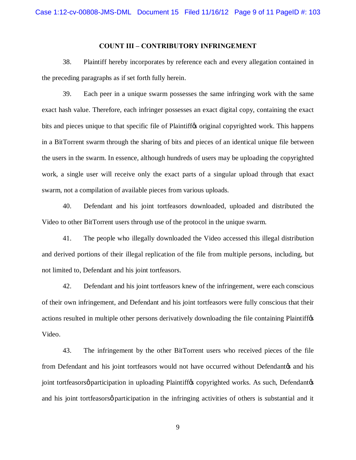# **COUNT III – CONTRIBUTORY INFRINGEMENT**

38. Plaintiff hereby incorporates by reference each and every allegation contained in the preceding paragraphs as if set forth fully herein.

39. Each peer in a unique swarm possesses the same infringing work with the same exact hash value. Therefore, each infringer possesses an exact digital copy, containing the exact bits and pieces unique to that specific file of Plaintiffos original copyrighted work. This happens in a BitTorrent swarm through the sharing of bits and pieces of an identical unique file between the users in the swarm. In essence, although hundreds of users may be uploading the copyrighted work, a single user will receive only the exact parts of a singular upload through that exact swarm, not a compilation of available pieces from various uploads.

40. Defendant and his joint tortfeasors downloaded, uploaded and distributed the Video to other BitTorrent users through use of the protocol in the unique swarm.

41. The people who illegally downloaded the Video accessed this illegal distribution and derived portions of their illegal replication of the file from multiple persons, including, but not limited to, Defendant and his joint tortfeasors.

42. Defendant and his joint tortfeasors knew of the infringement, were each conscious of their own infringement, and Defendant and his joint tortfeasors were fully conscious that their actions resulted in multiple other persons derivatively downloading the file containing Plaintiffos Video.

43. The infringement by the other BitTorrent users who received pieces of the file from Defendant and his joint tortfeasors would not have occurred without Defendant and his joint tortfeasorsø participation in uploading Plaintiffos copyrighted works. As such, Defendantos and his joint tortfeasors *participation* in the infringing activities of others is substantial and it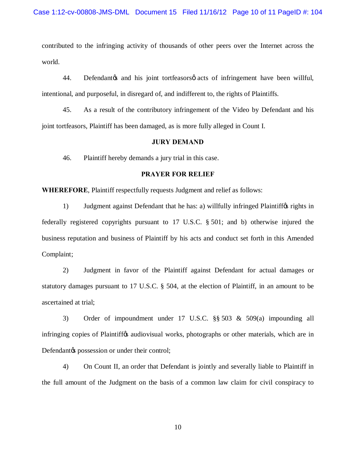contributed to the infringing activity of thousands of other peers over the Internet across the world.

44. Defendant is joint tortfeasors acts of infringement have been willful, intentional, and purposeful, in disregard of, and indifferent to, the rights of Plaintiffs.

45. As a result of the contributory infringement of the Video by Defendant and his joint tortfeasors, Plaintiff has been damaged, as is more fully alleged in Count I.

### **JURY DEMAND**

46. Plaintiff hereby demands a jury trial in this case.

# **PRAYER FOR RELIEF**

**WHEREFORE**, Plaintiff respectfully requests Judgment and relief as follows:

1) Judgment against Defendant that he has: a) willfully infringed Plaintiffos rights in federally registered copyrights pursuant to 17 U.S.C. § 501; and b) otherwise injured the business reputation and business of Plaintiff by his acts and conduct set forth in this Amended Complaint;

2) Judgment in favor of the Plaintiff against Defendant for actual damages or statutory damages pursuant to 17 U.S.C. § 504, at the election of Plaintiff, in an amount to be ascertained at trial;

3) Order of impoundment under 17 U.S.C. §§ 503 & 509(a) impounding all infringing copies of Plaintiffos audiovisual works, photographs or other materials, which are in Defendant the possession or under their control;

4) On Count II, an order that Defendant is jointly and severally liable to Plaintiff in the full amount of the Judgment on the basis of a common law claim for civil conspiracy to